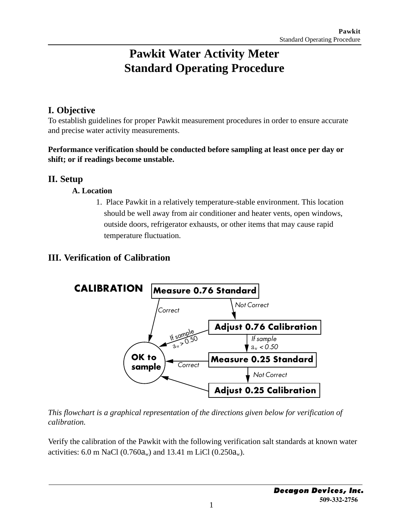# **Pawkit Water Activity Meter Standard Operating Procedure**

# **I. Objective**

To establish guidelines for proper Pawkit measurement procedures in order to ensure accurate and precise water activity measurements.

#### **Performance verification should be conducted before sampling at least once per day or shift; or if readings become unstable.**

## **II. Setup**

#### **A. Location**

1. Place Pawkit in a relatively temperature-stable environment. This location should be well away from air conditioner and heater vents, open windows, outside doors, refrigerator exhausts, or other items that may cause rapid temperature fluctuation.

# **III. Verification of Calibration**



*This flowchart is a graphical representation of the directions given below for verification of calibration.*

Verify the calibration of the Pawkit with the following verification salt standards at known water activities: 6.0 m NaCl  $(0.760a_w)$  and 13.41 m LiCl  $(0.250a_w)$ .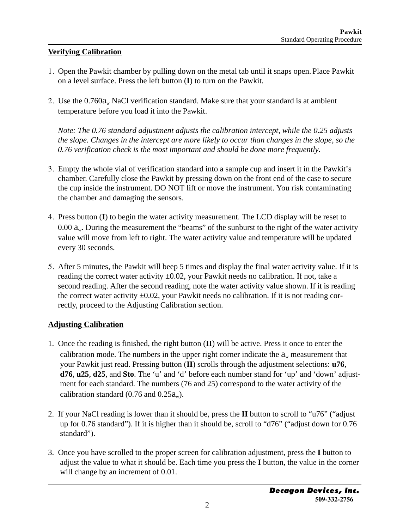#### **Verifying Calibration**

- 1. Open the Pawkit chamber by pulling down on the metal tab until it snaps open. Place Pawkit on a level surface. Press the left button (**I**) to turn on the Pawkit.
- 2. Use the  $0.760a_w$  NaCl verification standard. Make sure that your standard is at ambient temperature before you load it into the Pawkit.

*Note: The 0.76 standard adjustment adjusts the calibration intercept, while the 0.25 adjusts the slope. Changes in the intercept are more likely to occur than changes in the slope, so the 0.76 verification check is the most important and should be done more frequently.*

- 3. Empty the whole vial of verification standard into a sample cup and insert it in the Pawkit's chamber. Carefully close the Pawkit by pressing down on the front end of the case to secure the cup inside the instrument. DO NOT lift or move the instrument. You risk contaminating the chamber and damaging the sensors.
- 4. Press button (**I**) to begin the water activity measurement. The LCD display will be reset to 0.00  $a_w$ . During the measurement the "beams" of the sunburst to the right of the water activity value will move from left to right. The water activity value and temperature will be updated every 30 seconds.
- 5. After 5 minutes, the Pawkit will beep 5 times and display the final water activity value. If it is reading the correct water activity  $\pm 0.02$ , your Pawkit needs no calibration. If not, take a second reading. After the second reading, note the water activity value shown. If it is reading the correct water activity  $\pm 0.02$ , your Pawkit needs no calibration. If it is not reading correctly, proceed to the Adjusting Calibration section.

#### **Adjusting Calibration**

- 1. Once the reading is finished, the right button (**II**) will be active. Press it once to enter the calibration mode. The numbers in the upper right corner indicate the  $a_w$  measurement that your Pawkit just read. Pressing button (**II**) scrolls through the adjustment selections: **u76**, **d76**, **u25**, **d25**, and **Sto**. The 'u' and 'd' before each number stand for 'up' and 'down' adjustment for each standard. The numbers (76 and 25) correspond to the water activity of the calibration standard  $(0.76$  and  $0.25a_w$ ).
- 2. If your NaCl reading is lower than it should be, press the **II** button to scroll to "u76" ("adjust up for 0.76 standard"). If it is higher than it should be, scroll to "d76" ("adjust down for 0.76 standard").
- 3. Once you have scrolled to the proper screen for calibration adjustment, press the **I** button to adjust the value to what it should be. Each time you press the **I** button, the value in the corner will change by an increment of 0.01.